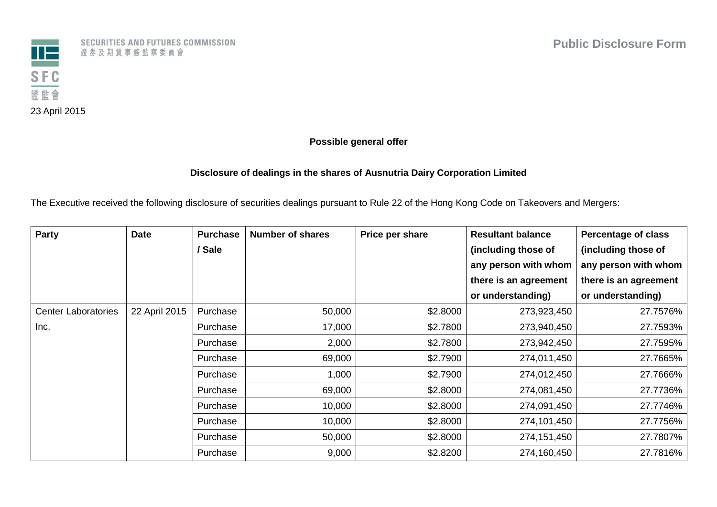

SECURITIES AND FUTURES COMMISSION 證券及期貨事務監察委員會

## **Possible general offer**

## **Disclosure of dealings in the shares of Ausnutria Dairy Corporation Limited**

The Executive received the following disclosure of securities dealings pursuant to Rule 22 of the Hong Kong Code on Takeovers and Mergers:

| Party                      | <b>Date</b>   | <b>Purchase</b> | <b>Number of shares</b> | Price per share | <b>Resultant balance</b> | <b>Percentage of class</b> |
|----------------------------|---------------|-----------------|-------------------------|-----------------|--------------------------|----------------------------|
|                            |               | / Sale          |                         |                 | (including those of      | (including those of        |
|                            |               |                 |                         |                 | any person with whom     | any person with whom       |
|                            |               |                 |                         |                 | there is an agreement    | there is an agreement      |
|                            |               |                 |                         |                 | or understanding)        | or understanding)          |
| <b>Center Laboratories</b> | 22 April 2015 | Purchase        | 50,000                  | \$2.8000        | 273,923,450              | 27.7576%                   |
| Inc.                       |               | Purchase        | 17,000                  | \$2.7800        | 273,940,450              | 27.7593%                   |
|                            |               | Purchase        | 2,000                   | \$2.7800        | 273,942,450              | 27.7595%                   |
|                            |               | Purchase        | 69,000                  | \$2.7900        | 274,011,450              | 27.7665%                   |
|                            |               | Purchase        | 1,000                   | \$2.7900        | 274,012,450              | 27.7666%                   |
|                            |               | Purchase        | 69,000                  | \$2.8000        | 274,081,450              | 27.7736%                   |
|                            |               | Purchase        | 10,000                  | \$2.8000        | 274,091,450              | 27.7746%                   |
|                            |               | Purchase        | 10,000                  | \$2.8000        | 274,101,450              | 27.7756%                   |
|                            |               | Purchase        | 50,000                  | \$2.8000        | 274,151,450              | 27.7807%                   |
|                            |               | Purchase        | 9,000                   | \$2.8200        | 274,160,450              | 27.7816%                   |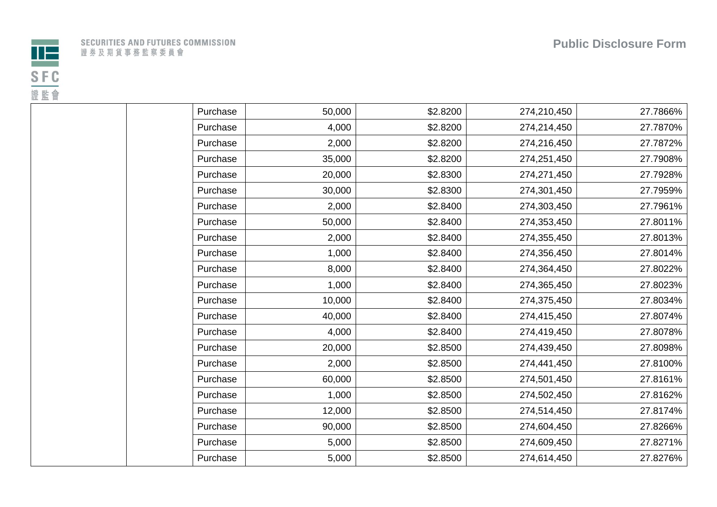

| Purchase | 50,000 | \$2.8200 | 274,210,450 | 27.7866% |
|----------|--------|----------|-------------|----------|
| Purchase | 4,000  | \$2.8200 | 274,214,450 | 27.7870% |
| Purchase | 2,000  | \$2.8200 | 274,216,450 | 27.7872% |
| Purchase | 35,000 | \$2.8200 | 274,251,450 | 27.7908% |
| Purchase | 20,000 | \$2.8300 | 274,271,450 | 27.7928% |
| Purchase | 30,000 | \$2.8300 | 274,301,450 | 27.7959% |
| Purchase | 2,000  | \$2.8400 | 274,303,450 | 27.7961% |
| Purchase | 50,000 | \$2.8400 | 274,353,450 | 27.8011% |
| Purchase | 2,000  | \$2.8400 | 274,355,450 | 27.8013% |
| Purchase | 1,000  | \$2.8400 | 274,356,450 | 27.8014% |
| Purchase | 8,000  | \$2.8400 | 274,364,450 | 27.8022% |
| Purchase | 1,000  | \$2.8400 | 274,365,450 | 27.8023% |
| Purchase | 10,000 | \$2.8400 | 274,375,450 | 27.8034% |
| Purchase | 40,000 | \$2.8400 | 274,415,450 | 27.8074% |
| Purchase | 4,000  | \$2.8400 | 274,419,450 | 27.8078% |
| Purchase | 20,000 | \$2.8500 | 274,439,450 | 27.8098% |
| Purchase | 2,000  | \$2.8500 | 274,441,450 | 27.8100% |
| Purchase | 60,000 | \$2.8500 | 274,501,450 | 27.8161% |
| Purchase | 1,000  | \$2.8500 | 274,502,450 | 27.8162% |
| Purchase | 12,000 | \$2.8500 | 274,514,450 | 27.8174% |
| Purchase | 90,000 | \$2.8500 | 274,604,450 | 27.8266% |
| Purchase | 5,000  | \$2.8500 | 274,609,450 | 27.8271% |
| Purchase | 5,000  | \$2.8500 | 274,614,450 | 27.8276% |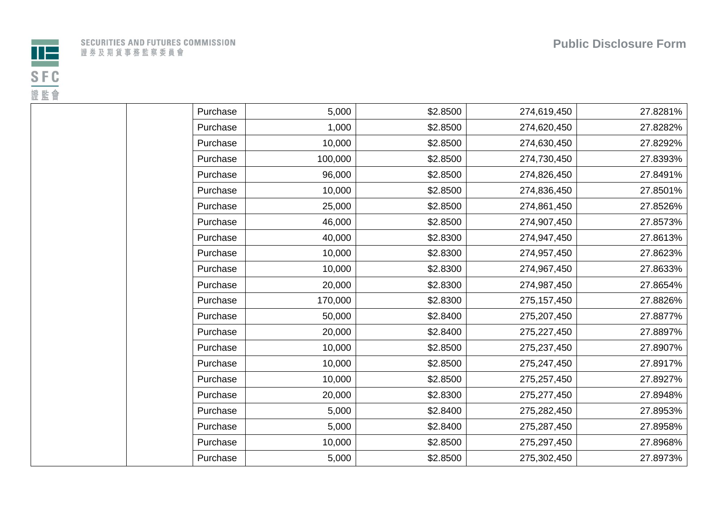

| Purchase | 5,000   | \$2.8500 | 274,619,450   | 27.8281% |
|----------|---------|----------|---------------|----------|
| Purchase | 1,000   | \$2.8500 | 274,620,450   | 27.8282% |
| Purchase | 10,000  | \$2.8500 | 274,630,450   | 27.8292% |
| Purchase | 100,000 | \$2.8500 | 274,730,450   | 27.8393% |
| Purchase | 96,000  | \$2.8500 | 274,826,450   | 27.8491% |
| Purchase | 10,000  | \$2.8500 | 274,836,450   | 27.8501% |
| Purchase | 25,000  | \$2.8500 | 274,861,450   | 27.8526% |
| Purchase | 46,000  | \$2.8500 | 274,907,450   | 27.8573% |
| Purchase | 40,000  | \$2.8300 | 274,947,450   | 27.8613% |
| Purchase | 10,000  | \$2.8300 | 274,957,450   | 27.8623% |
| Purchase | 10,000  | \$2.8300 | 274,967,450   | 27.8633% |
| Purchase | 20,000  | \$2.8300 | 274,987,450   | 27.8654% |
| Purchase | 170,000 | \$2.8300 | 275, 157, 450 | 27.8826% |
| Purchase | 50,000  | \$2.8400 | 275,207,450   | 27.8877% |
| Purchase | 20,000  | \$2.8400 | 275,227,450   | 27.8897% |
| Purchase | 10,000  | \$2.8500 | 275,237,450   | 27.8907% |
| Purchase | 10,000  | \$2.8500 | 275,247,450   | 27.8917% |
| Purchase | 10,000  | \$2.8500 | 275,257,450   | 27.8927% |
| Purchase | 20,000  | \$2.8300 | 275,277,450   | 27.8948% |
| Purchase | 5,000   | \$2.8400 | 275,282,450   | 27.8953% |
| Purchase | 5,000   | \$2.8400 | 275,287,450   | 27.8958% |
| Purchase | 10,000  | \$2.8500 | 275,297,450   | 27.8968% |
| Purchase | 5,000   | \$2.8500 | 275,302,450   | 27.8973% |